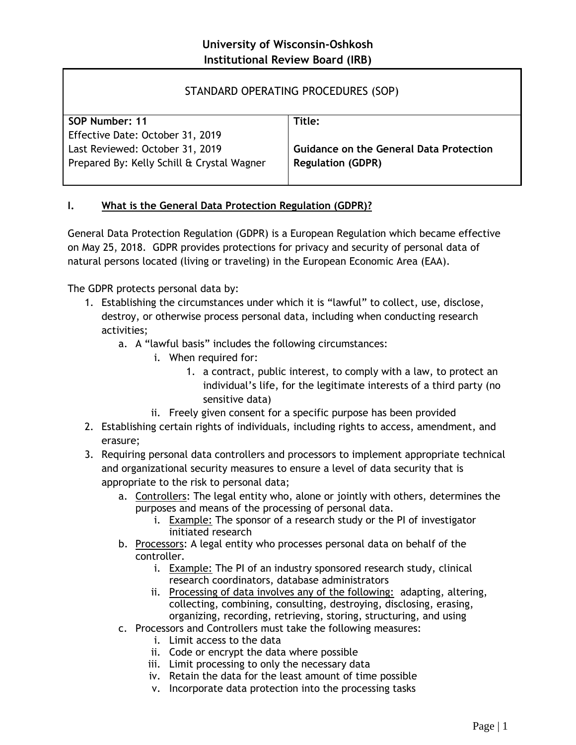## STANDARD OPERATING PROCEDURES (SOP)

| SOP Number: 11                             | Title:                                         |
|--------------------------------------------|------------------------------------------------|
| Effective Date: October 31, 2019           |                                                |
| Last Reviewed: October 31, 2019            | <b>Guidance on the General Data Protection</b> |
| Prepared By: Kelly Schill & Crystal Wagner | <b>Regulation (GDPR)</b>                       |
|                                            |                                                |

## **I. What is the General Data Protection Regulation (GDPR)?**

General Data Protection Regulation (GDPR) is a European Regulation which became effective on May 25, 2018. GDPR provides protections for privacy and security of personal data of natural persons located (living or traveling) in the European Economic Area (EAA).

The GDPR protects personal data by:

- 1. Establishing the circumstances under which it is "lawful" to collect, use, disclose, destroy, or otherwise process personal data, including when conducting research activities;
	- a. A "lawful basis" includes the following circumstances:
		- i. When required for:
			- 1. a contract, public interest, to comply with a law, to protect an individual's life, for the legitimate interests of a third party (no sensitive data)
		- ii. Freely given consent for a specific purpose has been provided
- 2. Establishing certain rights of individuals, including rights to access, amendment, and erasure;
- 3. Requiring personal data controllers and processors to implement appropriate technical and organizational security measures to ensure a level of data security that is appropriate to the risk to personal data;
	- a. Controllers: The legal entity who, alone or jointly with others, determines the purposes and means of the processing of personal data.
		- i. Example: The sponsor of a research study or the PI of investigator initiated research
	- b. Processors: A legal entity who processes personal data on behalf of the controller.
		- i. Example: The PI of an industry sponsored research study, clinical research coordinators, database administrators
		- ii. Processing of data involves any of the following: adapting, altering, collecting, combining, consulting, destroying, disclosing, erasing, organizing, recording, retrieving, storing, structuring, and using
	- c. Processors and Controllers must take the following measures:
		- i. Limit access to the data
		- ii. Code or encrypt the data where possible
		- iii. Limit processing to only the necessary data
		- iv. Retain the data for the least amount of time possible
		- v. Incorporate data protection into the processing tasks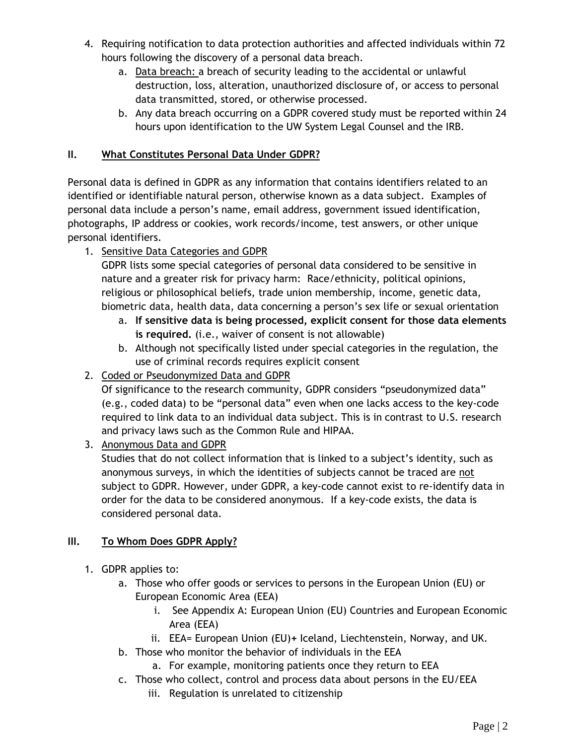- 4. Requiring notification to data protection authorities and affected individuals within 72 hours following the discovery of a personal data breach.
	- a. Data breach: a breach of security leading to the accidental or unlawful destruction, loss, alteration, unauthorized disclosure of, or access to personal data transmitted, stored, or otherwise processed.
	- b. Any data breach occurring on a GDPR covered study must be reported within 24 hours upon identification to the UW System Legal Counsel and the IRB.

## **II. What Constitutes Personal Data Under GDPR?**

Personal data is defined in GDPR as any information that contains identifiers related to an identified or identifiable natural person, otherwise known as a data subject. Examples of personal data include a person's name, email address, government issued identification, photographs, IP address or cookies, work records/income, test answers, or other unique personal identifiers.

1. Sensitive Data Categories and GDPR

GDPR lists some special categories of personal data considered to be sensitive in nature and a greater risk for privacy harm: Race/ethnicity, political opinions, religious or philosophical beliefs, trade union membership, income, genetic data, biometric data, health data, data concerning a person's sex life or sexual orientation

- a. **If sensitive data is being processed, explicit consent for those data elements is required.** (i.e., waiver of consent is not allowable)
- b. Although not specifically listed under special categories in the regulation, the use of criminal records requires explicit consent
- 2. Coded or Pseudonymized Data and GDPR

Of significance to the research community, GDPR considers "pseudonymized data" (e.g., coded data) to be "personal data" even when one lacks access to the key-code required to link data to an individual data subject. This is in contrast to U.S. research and privacy laws such as the Common Rule and HIPAA.

3. Anonymous Data and GDPR

Studies that do not collect information that is linked to a subject's identity, such as anonymous surveys, in which the identities of subjects cannot be traced are not subject to GDPR. However, under GDPR, a key-code cannot exist to re-identify data in order for the data to be considered anonymous. If a key-code exists, the data is considered personal data.

## **III. To Whom Does GDPR Apply?**

- 1. GDPR applies to:
	- a. Those who offer goods or services to persons in the European Union (EU) or European Economic Area (EEA)
		- i. See Appendix A: European Union (EU) Countries and European Economic Area (EEA)
		- ii. EEA= European Union (EU)**+** Iceland, Liechtenstein, Norway, and UK.
	- b. Those who monitor the behavior of individuals in the EEA
		- a. For example, monitoring patients once they return to EEA
	- c. Those who collect, control and process data about persons in the EU/EEA
		- iii. Regulation is unrelated to citizenship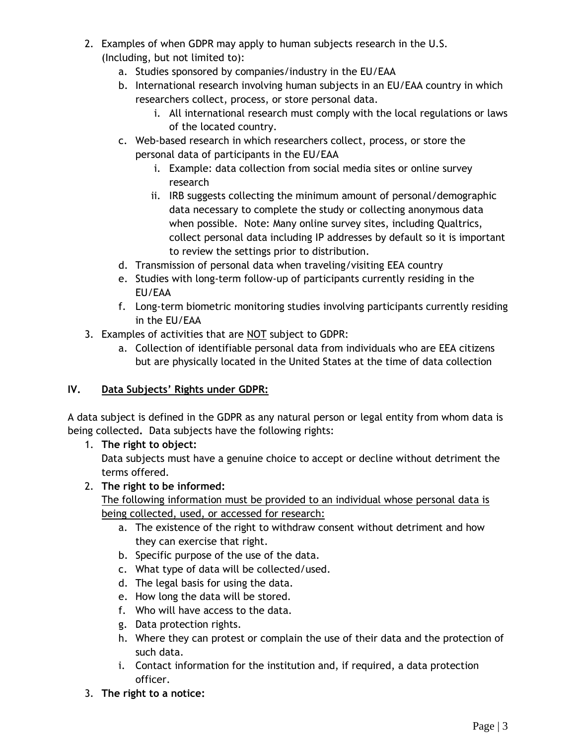- 2. Examples of when GDPR may apply to human subjects research in the U.S. (Including, but not limited to):
	- a. Studies sponsored by companies/industry in the EU/EAA
	- b. International research involving human subjects in an EU/EAA country in which researchers collect, process, or store personal data.
		- i. All international research must comply with the local regulations or laws of the located country.
	- c. Web-based research in which researchers collect, process, or store the personal data of participants in the EU/EAA
		- i. Example: data collection from social media sites or online survey research
		- ii. IRB suggests collecting the minimum amount of personal/demographic data necessary to complete the study or collecting anonymous data when possible. Note: Many online survey sites, including Qualtrics, collect personal data including IP addresses by default so it is important to review the settings prior to distribution.
	- d. Transmission of personal data when traveling/visiting EEA country
	- e. Studies with long-term follow-up of participants currently residing in the EU/EAA
	- f. Long-term biometric monitoring studies involving participants currently residing in the EU/EAA
- 3. Examples of activities that are NOT subject to GDPR:
	- a. Collection of identifiable personal data from individuals who are EEA citizens but are physically located in the United States at the time of data collection

# **IV. Data Subjects' Rights under GDPR:**

A data subject is defined in the GDPR as any natural person or legal entity from whom data is being collected**.** Data subjects have the following rights:

1. **The right to object:**

Data subjects must have a genuine choice to accept or decline without detriment the terms offered.

2. **The right to be informed:**

The following information must be provided to an individual whose personal data is being collected, used, or accessed for research:

- a. The existence of the right to withdraw consent without detriment and how they can exercise that right.
- b. Specific purpose of the use of the data.
- c. What type of data will be collected/used.
- d. The legal basis for using the data.
- e. How long the data will be stored.
- f. Who will have access to the data.
- g. Data protection rights.
- h. Where they can protest or complain the use of their data and the protection of such data.
- i. Contact information for the institution and, if required, a data protection officer.
- 3. **The right to a notice:**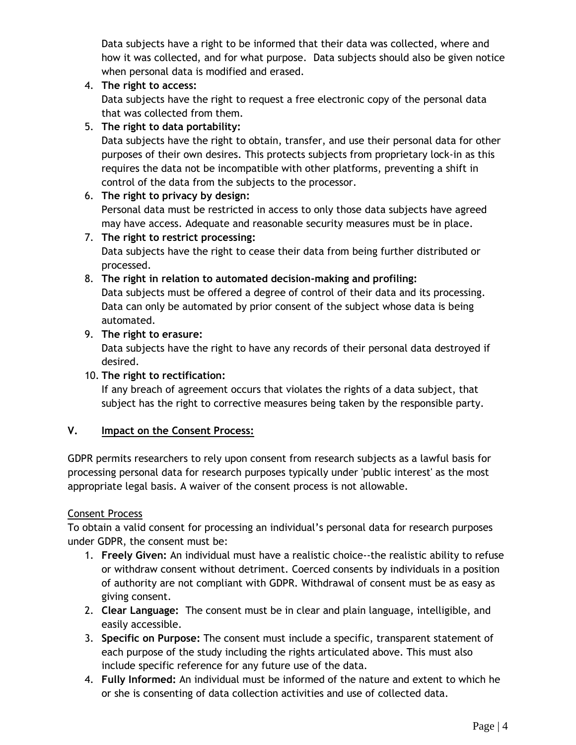Data subjects have a right to be informed that their data was collected, where and how it was collected, and for what purpose. Data subjects should also be given notice when personal data is modified and erased.

4. **The right to access:**

Data subjects have the right to request a free electronic copy of the personal data that was collected from them.

## 5. **The right to data portability:**

Data subjects have the right to obtain, transfer, and use their personal data for other purposes of their own desires. This protects subjects from proprietary lock-in as this requires the data not be incompatible with other platforms, preventing a shift in control of the data from the subjects to the processor.

## 6. **The right to privacy by design:**

Personal data must be restricted in access to only those data subjects have agreed may have access. Adequate and reasonable security measures must be in place.

## 7. **The right to restrict processing:**

Data subjects have the right to cease their data from being further distributed or processed.

## 8. **The right in relation to automated decision-making and profiling:**

Data subjects must be offered a degree of control of their data and its processing. Data can only be automated by prior consent of the subject whose data is being automated.

## 9. **The right to erasure:**

Data subjects have the right to have any records of their personal data destroyed if desired.

## 10. **The right to rectification:**

If any breach of agreement occurs that violates the rights of a data subject, that subject has the right to corrective measures being taken by the responsible party.

## **V. Impact on the Consent Process:**

GDPR permits researchers to rely upon consent from research subjects as a lawful basis for processing personal data for research purposes typically under 'public interest' as the most appropriate legal basis. A waiver of the consent process is not allowable.

## Consent Process

To obtain a valid consent for processing an individual's personal data for research purposes under GDPR, the consent must be:

- 1. **Freely Given:** An individual must have a realistic choice--the realistic ability to refuse or withdraw consent without detriment. Coerced consents by individuals in a position of authority are not compliant with GDPR. Withdrawal of consent must be as easy as giving consent.
- 2. **Clear Language:** The consent must be in clear and plain language, intelligible, and easily accessible.
- 3. **Specific on Purpose:** The consent must include a specific, transparent statement of each purpose of the study including the rights articulated above. This must also include specific reference for any future use of the data.
- 4. **Fully Informed:** An individual must be informed of the nature and extent to which he or she is consenting of data collection activities and use of collected data.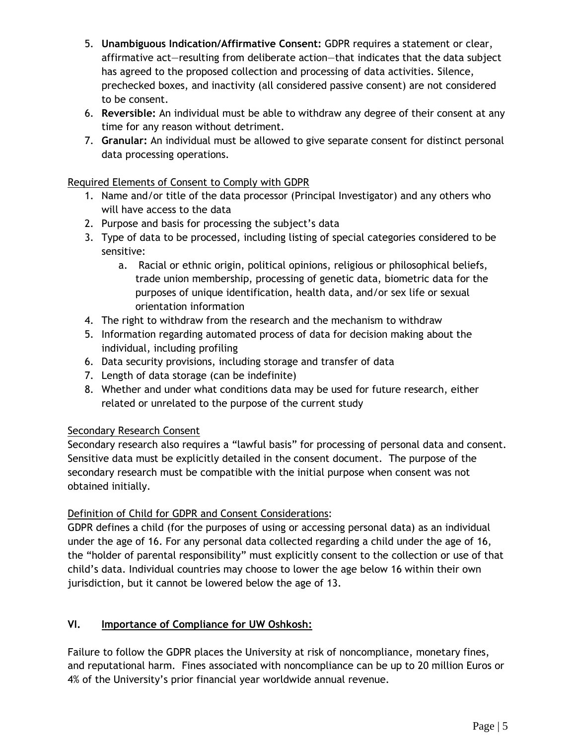- 5. **Unambiguous Indication/Affirmative Consent:** GDPR requires a statement or clear, affirmative act—resulting from deliberate action—that indicates that the data subject has agreed to the proposed collection and processing of data activities. Silence, prechecked boxes, and inactivity (all considered passive consent) are not considered to be consent.
- 6. **Reversible:** An individual must be able to withdraw any degree of their consent at any time for any reason without detriment.
- 7. **Granular:** An individual must be allowed to give separate consent for distinct personal data processing operations.

## Required Elements of Consent to Comply with GDPR

- 1. Name and/or title of the data processor (Principal Investigator) and any others who will have access to the data
- 2. Purpose and basis for processing the subject's data
- 3. Type of data to be processed, including listing of special categories considered to be sensitive:
	- a. Racial or ethnic origin, political opinions, religious or philosophical beliefs, trade union membership, processing of genetic data, biometric data for the purposes of unique identification, health data, and/or sex life or sexual orientation information
- 4. The right to withdraw from the research and the mechanism to withdraw
- 5. Information regarding automated process of data for decision making about the individual, including profiling
- 6. Data security provisions, including storage and transfer of data
- 7. Length of data storage (can be indefinite)
- 8. Whether and under what conditions data may be used for future research, either related or unrelated to the purpose of the current study

## Secondary Research Consent

Secondary research also requires a "lawful basis" for processing of personal data and consent. Sensitive data must be explicitly detailed in the consent document. The purpose of the secondary research must be compatible with the initial purpose when consent was not obtained initially.

## Definition of Child for GDPR and Consent Considerations:

GDPR defines a child (for the purposes of using or accessing personal data) as an individual under the age of 16. For any personal data collected regarding a child under the age of 16, the "holder of parental responsibility" must explicitly consent to the collection or use of that child's data. Individual countries may choose to lower the age below 16 within their own jurisdiction, but it cannot be lowered below the age of 13.

## **VI. Importance of Compliance for UW Oshkosh:**

Failure to follow the GDPR places the University at risk of noncompliance, monetary fines, and reputational harm. Fines associated with noncompliance can be up to 20 million Euros or 4% of the University's prior financial year worldwide annual revenue.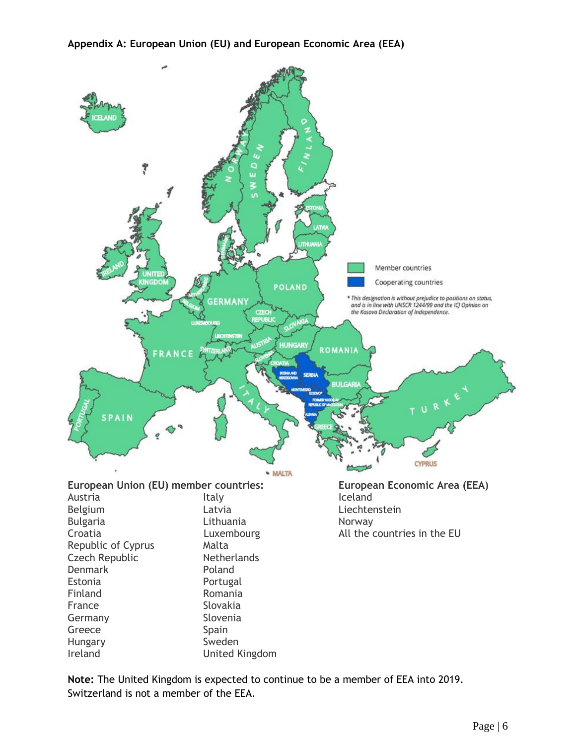

**Note:** The United Kingdom is expected to continue to be a member of EEA into 2019. Switzerland is not a member of the EEA.